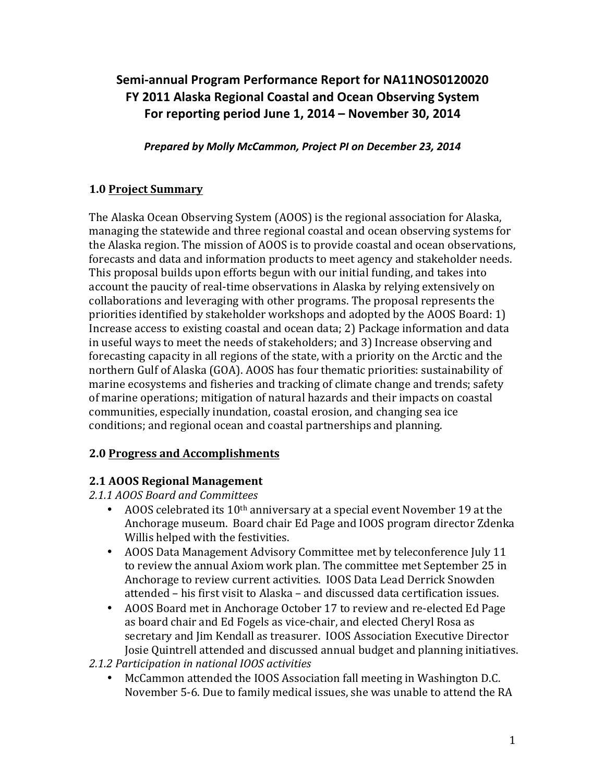# Semi-annual Program Performance Report for NA11NOS0120020 **FY 2011 Alaska Regional Coastal and Ocean Observing System** For reporting period June 1, 2014 – November 30, 2014

Prepared by Molly McCammon, Project PI on December 23, 2014

### **1.0 Project Summary**

The Alaska Ocean Observing System (AOOS) is the regional association for Alaska, managing the statewide and three regional coastal and ocean observing systems for the Alaska region. The mission of AOOS is to provide coastal and ocean observations, forecasts and data and information products to meet agency and stakeholder needs. This proposal builds upon efforts begun with our initial funding, and takes into account the paucity of real-time observations in Alaska by relying extensively on collaborations and leveraging with other programs. The proposal represents the priorities identified by stakeholder workshops and adopted by the AOOS Board:  $1$ ) Increase access to existing coastal and ocean data; 2) Package information and data in useful ways to meet the needs of stakeholders; and 3) Increase observing and forecasting capacity in all regions of the state, with a priority on the Arctic and the northern Gulf of Alaska (GOA). AOOS has four thematic priorities: sustainability of marine ecosystems and fisheries and tracking of climate change and trends; safety of marine operations; mitigation of natural hazards and their impacts on coastal communities, especially inundation, coastal erosion, and changing sea ice conditions; and regional ocean and coastal partnerships and planning.

#### **2.0 Progress and Accomplishments**

#### **2.1 AOOS Regional Management**

*2.1.1 AOOS Board and Committees*

- AOOS celebrated its  $10<sup>th</sup>$  anniversary at a special event November 19 at the Anchorage museum. Board chair Ed Page and IOOS program director Zdenka Willis helped with the festivities.
- AOOS Data Management Advisory Committee met by teleconference July 11 to review the annual Axiom work plan. The committee met September 25 in Anchorage to review current activities. IOOS Data Lead Derrick Snowden attended – his first visit to Alaska – and discussed data certification issues.
- AOOS Board met in Anchorage October 17 to review and re-elected Ed Page as board chair and Ed Fogels as vice-chair, and elected Cheryl Rosa as secretary and Jim Kendall as treasurer. IOOS Association Executive Director Josie Quintrell attended and discussed annual budget and planning initiatives.
- *2.1.2 Participation in national IOOS activities*
	- McCammon attended the IOOS Association fall meeting in Washington D.C. November 5-6. Due to family medical issues, she was unable to attend the RA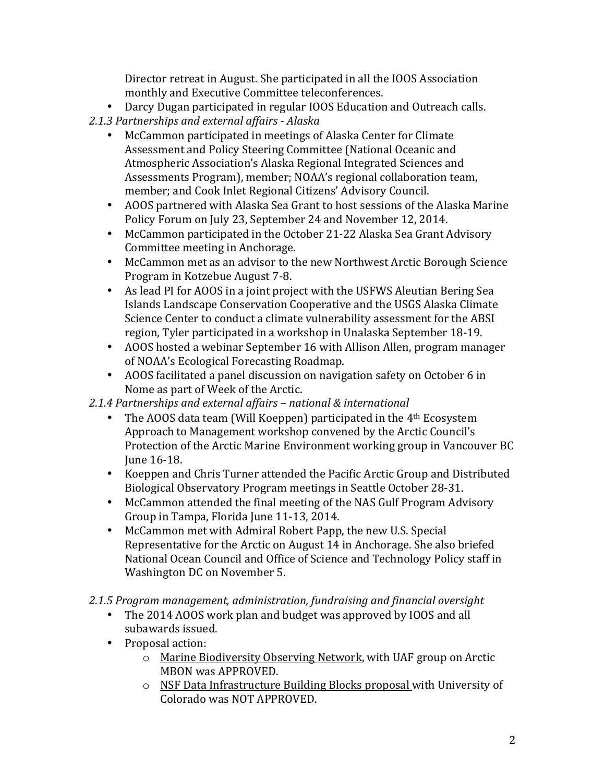Director retreat in August. She participated in all the IOOS Association monthly and Executive Committee teleconferences.

- Darcy Dugan participated in regular IOOS Education and Outreach calls.
- *2.1.3 Partnerships and external affairs - Alaska*
	- McCammon participated in meetings of Alaska Center for Climate Assessment and Policy Steering Committee (National Oceanic and Atmospheric Association's Alaska Regional Integrated Sciences and Assessments Program), member; NOAA's regional collaboration team, member; and Cook Inlet Regional Citizens' Advisory Council.
	- AOOS partnered with Alaska Sea Grant to host sessions of the Alaska Marine Policy Forum on July 23, September 24 and November 12, 2014.
	- McCammon participated in the October 21-22 Alaska Sea Grant Advisory Committee meeting in Anchorage.
	- McCammon met as an advisor to the new Northwest Arctic Borough Science Program in Kotzebue August 7-8.
	- As lead PI for AOOS in a joint project with the USFWS Aleutian Bering Sea Islands Landscape Conservation Cooperative and the USGS Alaska Climate Science Center to conduct a climate vulnerability assessment for the ABSI region, Tyler participated in a workshop in Unalaska September 18-19.
	- AOOS hosted a webinar September 16 with Allison Allen, program manager of NOAA's Ecological Forecasting Roadmap.
	- AOOS facilitated a panel discussion on navigation safety on October 6 in Nome as part of Week of the Arctic.

# *2.1.4 Partnerships and external affairs – national & international*

- The AOOS data team (Will Koeppen) participated in the  $4<sup>th</sup>$  Ecosystem Approach to Management workshop convened by the Arctic Council's Protection of the Arctic Marine Environment working group in Vancouver BC June 16-18.
- Koeppen and Chris Turner attended the Pacific Arctic Group and Distributed Biological Observatory Program meetings in Seattle October 28-31.
- McCammon attended the final meeting of the NAS Gulf Program Advisory Group in Tampa, Florida June 11-13, 2014.
- McCammon met with Admiral Robert Papp, the new U.S. Special Representative for the Arctic on August 14 in Anchorage. She also briefed National Ocean Council and Office of Science and Technology Policy staff in Washington DC on November 5.

# 2.1.5 Program management, administration, fundraising and financial oversight

- The 2014 AOOS work plan and budget was approved by IOOS and all subawards issued.
- Proposal action:
	- $\circ$  Marine Biodiversity Observing Network, with UAF group on Arctic MBON was APPROVED.
	- $\circ$  NSF Data Infrastructure Building Blocks proposal with University of Colorado was NOT APPROVED.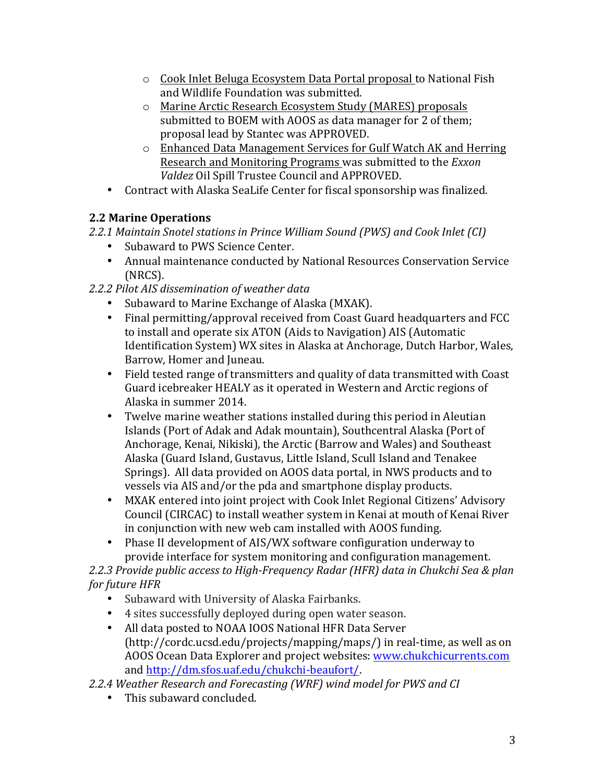- $\circ$  Cook Inlet Beluga Ecosystem Data Portal proposal to National Fish and Wildlife Foundation was submitted.
- o Marine Arctic Research Ecosystem Study (MARES) proposals submitted to BOEM with AOOS as data manager for 2 of them; proposal lead by Stantec was APPROVED.
- $\circ$  Enhanced Data Management Services for Gulf Watch AK and Herring Research and Monitoring Programs was submitted to the *Exxon* Valdez Oil Spill Trustee Council and APPROVED.
- Contract with Alaska SeaLife Center for fiscal sponsorship was finalized.

# **2.2 Marine Operations**

*2.2.1 Maintain Snotel stations in Prince William Sound (PWS) and Cook Inlet (CI)*

- Subaward to PWS Science Center.
- Annual maintenance conducted by National Resources Conservation Service (NRCS).
- *2.2.2 Pilot AIS dissemination of weather data*
	- Subaward to Marine Exchange of Alaska (MXAK).
	- Final permitting/approval received from Coast Guard headquarters and FCC to install and operate six ATON (Aids to Navigation) AIS (Automatic Identification System) WX sites in Alaska at Anchorage, Dutch Harbor, Wales, Barrow, Homer and Juneau.
	- Field tested range of transmitters and quality of data transmitted with Coast Guard icebreaker HEALY as it operated in Western and Arctic regions of Alaska in summer 2014.
	- Twelve marine weather stations installed during this period in Aleutian Islands (Port of Adak and Adak mountain), Southcentral Alaska (Port of Anchorage, Kenai, Nikiski), the Arctic (Barrow and Wales) and Southeast Alaska (Guard Island, Gustavus, Little Island, Scull Island and Tenakee Springs). All data provided on AOOS data portal, in NWS products and to vessels via AIS and/or the pda and smartphone display products.
	- MXAK entered into joint project with Cook Inlet Regional Citizens' Advisory Council (CIRCAC) to install weather system in Kenai at mouth of Kenai River in conjunction with new web cam installed with AOOS funding.
	- Phase II development of AIS/WX software configuration underway to provide interface for system monitoring and configuration management.

2.2.3 Provide public access to High-Frequency Radar (HFR) data in Chukchi Sea & plan *for future HFR* 

- Subaward with University of Alaska Fairbanks.
- 4 sites successfully deployed during open water season.
- All data posted to NOAA IOOS National HFR Data Server  $(\text{http://cordc.ucsd.edu/projects/mapping/maps/})$  in real-time, as well as on AOOS Ocean Data Explorer and project websites: [www.chukchicurrents.com](http://www.chukchicurrents.com) and http://dm.sfos.uaf.edu/chukchi-beaufort/.
- *2.2.4 Weather Research and Forecasting (WRF) wind model for PWS and CI*
	- This subaward concluded.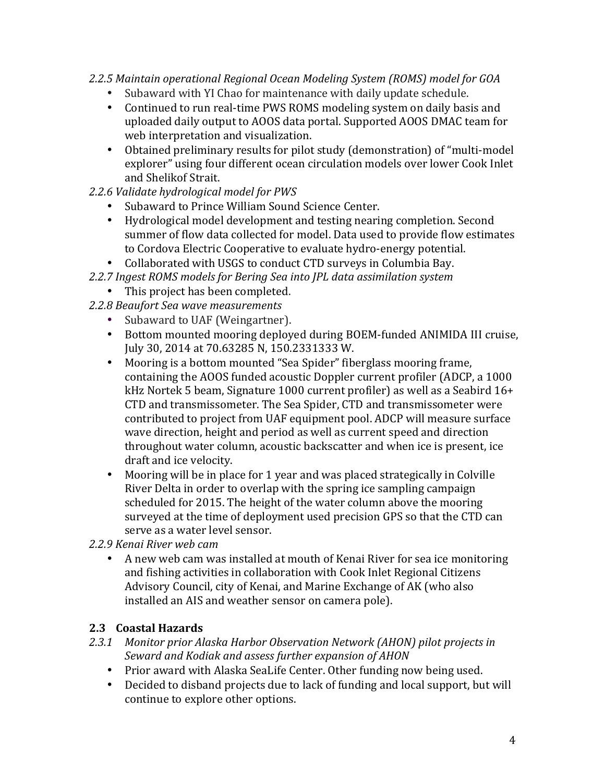#### *2.2.5 Maintain operational Regional Ocean Modeling System (ROMS) model for GOA*

- Subaward with YI Chao for maintenance with daily update schedule.
- Continued to run real-time PWS ROMS modeling system on daily basis and uploaded daily output to AOOS data portal. Supported AOOS DMAC team for web interpretation and visualization.
- Obtained preliminary results for pilot study (demonstration) of "multi-model explorer" using four different ocean circulation models over lower Cook Inlet and Shelikof Strait.

#### 2.2.6 Validate hydrological model for PWS

- Subaward to Prince William Sound Science Center.
- Hydrological model development and testing nearing completion. Second summer of flow data collected for model. Data used to provide flow estimates to Cordova Electric Cooperative to evaluate hydro-energy potential.
- Collaborated with USGS to conduct CTD surveys in Columbia Bay.
- 2.2.7 Ingest ROMS models for Bering Sea into JPL data assimilation system
	- This project has been completed.
- *2.2.8 Beaufort Sea wave measurements*
	- Subaward to UAF (Weingartner).
	- Bottom mounted mooring deployed during BOEM-funded ANIMIDA III cruise, July 30, 2014 at 70.63285 N, 150.2331333 W.
	- Mooring is a bottom mounted "Sea Spider" fiberglass mooring frame, containing the AOOS funded acoustic Doppler current profiler (ADCP, a 1000 kHz Nortek 5 beam, Signature 1000 current profiler) as well as a Seabird  $16+$ CTD and transmissometer. The Sea Spider, CTD and transmissometer were contributed to project from UAF equipment pool. ADCP will measure surface wave direction, height and period as well as current speed and direction throughout water column, acoustic backscatter and when ice is present, ice draft and ice velocity.
	- Mooring will be in place for 1 year and was placed strategically in Colville River Delta in order to overlap with the spring ice sampling campaign scheduled for 2015. The height of the water column above the mooring surveyed at the time of deployment used precision GPS so that the CTD can serve as a water level sensor.

*2.2.9 Kenai River web cam*

A new web cam was installed at mouth of Kenai River for sea ice monitoring and fishing activities in collaboration with Cook Inlet Regional Citizens Advisory Council, city of Kenai, and Marine Exchange of AK (who also installed an AIS and weather sensor on camera pole).

#### **2.3 Coastal Hazards**

- *2.3.1 Monitor prior Alaska Harbor Observation Network (AHON) pilot projects in*  Seward and Kodiak and assess further expansion of AHON
	- Prior award with Alaska SeaLife Center. Other funding now being used.
	- Decided to disband projects due to lack of funding and local support, but will continue to explore other options.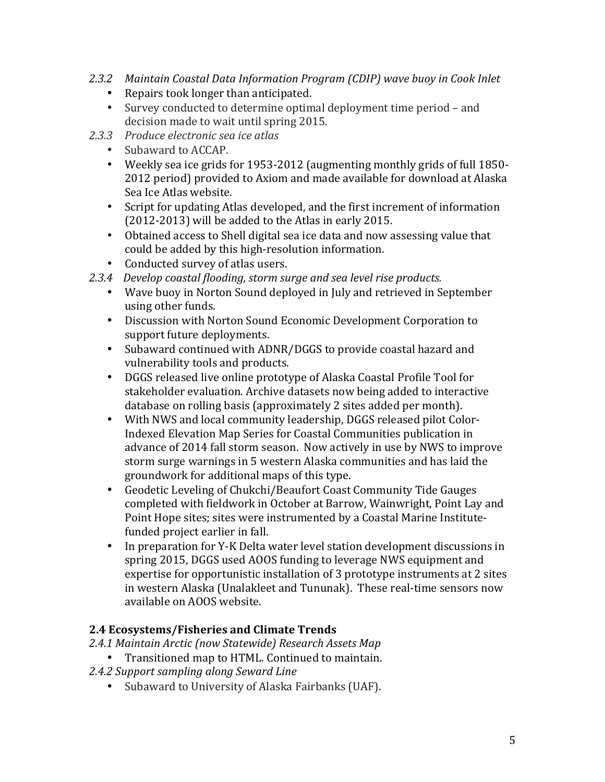- *2.3.2 Maintain Coastal Data Information Program (CDIP) wave buoy in Cook Inlet*
	- Repairs took longer than anticipated.
	- Survey conducted to determine optimal deployment time period and decision made to wait until spring 2015.
- *2.3.3 Produce electronic sea ice atlas*
	- Subaward to ACCAP.
	- Weekly sea ice grids for 1953-2012 (augmenting monthly grids of full 1850-2012 period) provided to Axiom and made available for download at Alaska Sea Ice Atlas website.
	- Script for updating Atlas developed, and the first increment of information  $(2012-2013)$  will be added to the Atlas in early 2015.
	- Obtained access to Shell digital sea ice data and now assessing value that could be added by this high-resolution information.
	- Conducted survey of atlas users.
- 2.3.4 Develop coastal flooding, storm surge and sea level rise products.
	- Wave buoy in Norton Sound deployed in July and retrieved in September using other funds.
	- Discussion with Norton Sound Economic Development Corporation to support future deployments.
	- Subaward continued with ADNR/DGGS to provide coastal hazard and vulnerability tools and products.
	- DGGS released live online prototype of Alaska Coastal Profile Tool for stakeholder evaluation. Archive datasets now being added to interactive database on rolling basis (approximately 2 sites added per month).
	- With NWS and local community leadership, DGGS released pilot Color-Indexed Elevation Map Series for Coastal Communities publication in advance of 2014 fall storm season. Now actively in use by NWS to improve storm surge warnings in 5 western Alaska communities and has laid the groundwork for additional maps of this type.
	- Geodetic Leveling of Chukchi/Beaufort Coast Community Tide Gauges completed with fieldwork in October at Barrow, Wainwright, Point Lay and Point Hope sites; sites were instrumented by a Coastal Marine Institutefunded project earlier in fall.
	- In preparation for Y-K Delta water level station development discussions in spring 2015, DGGS used AOOS funding to leverage NWS equipment and expertise for opportunistic installation of 3 prototype instruments at 2 sites in western Alaska (Unalakleet and Tununak). These real-time sensors now available on AOOS website.

#### **2.4 Ecosystems/Fisheries and Climate Trends**

*2.4.1 Maintain Arctic (now Statewide) Research Assets Map*

- Transitioned map to HTML. Continued to maintain.
- *2.4.2 Support sampling along Seward Line*
	- Subaward to University of Alaska Fairbanks (UAF).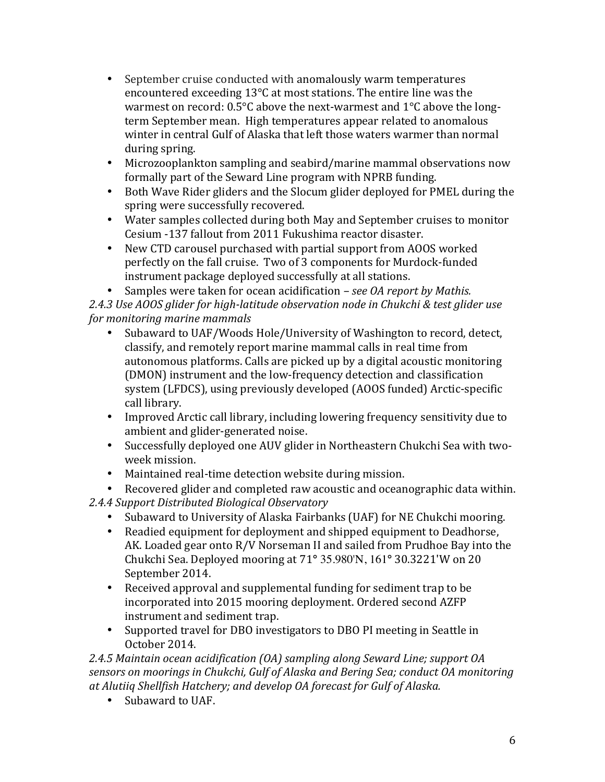- September cruise conducted with anomalously warm temperatures encountered exceeding  $13^{\circ}$ C at most stations. The entire line was the warmest on record:  $0.5^{\circ}$ C above the next-warmest and  $1^{\circ}$ C above the longterm September mean. High temperatures appear related to anomalous winter in central Gulf of Alaska that left those waters warmer than normal during spring.
- Microzooplankton sampling and seabird/marine mammal observations now formally part of the Seward Line program with NPRB funding.
- Both Wave Rider gliders and the Slocum glider deployed for PMEL during the spring were successfully recovered.
- Water samples collected during both May and September cruises to monitor Cesium -137 fallout from 2011 Fukushima reactor disaster.
- New CTD carousel purchased with partial support from AOOS worked perfectly on the fall cruise. Two of 3 components for Murdock-funded instrument package deployed successfully at all stations.

Samples were taken for ocean acidification *– see OA report by Mathis.* 2.4.3 Use AOOS glider for high-latitude observation node in Chukchi & test glider use *for monitoring marine mammals* 

- Subaward to UAF/Woods Hole/University of Washington to record, detect, classify, and remotely report marine mammal calls in real time from autonomous platforms. Calls are picked up by a digital acoustic monitoring (DMON) instrument and the low-frequency detection and classification system (LFDCS), using previously developed (AOOS funded) Arctic-specific call library.
- Improved Arctic call library, including lowering frequency sensitivity due to ambient and glider-generated noise.
- Successfully deployed one AUV glider in Northeastern Chukchi Sea with twoweek mission.
- Maintained real-time detection website during mission.

• Recovered glider and completed raw acoustic and oceanographic data within.

*2.4.4 Support Distributed Biological Observatory*

- Subaward to University of Alaska Fairbanks (UAF) for NE Chukchi mooring.
- Readied equipment for deployment and shipped equipment to Deadhorse, AK. Loaded gear onto  $R/V$  Norseman II and sailed from Prudhoe Bay into the Chukchi Sea. Deployed mooring at 71**°** 35.980'N, 161**°** 30.3221'W on 20 September 2014.
- Received approval and supplemental funding for sediment trap to be incorporated into 2015 mooring deployment. Ordered second AZFP instrument and sediment trap.
- Supported travel for DBO investigators to DBO PI meeting in Seattle in October 2014.

*2.4.5 Maintain ocean acidification (OA) sampling along Seward Line; support OA*  sensors on moorings in Chukchi, Gulf of Alaska and Bering Sea; conduct OA monitoring *at Alutiiq Shellfish Hatchery; and develop OA forecast for Gulf of Alaska.*

• Subaward to UAF.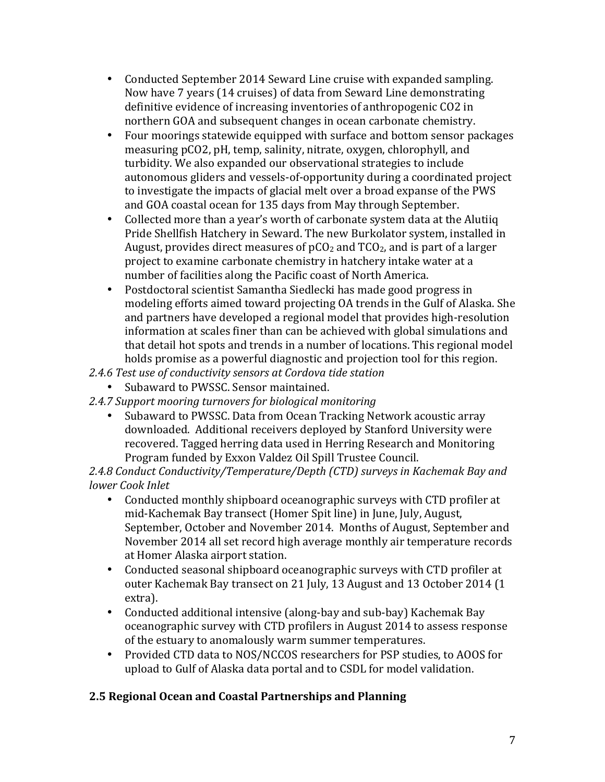- Conducted September 2014 Seward Line cruise with expanded sampling. Now have 7 years (14 cruises) of data from Seward Line demonstrating definitive evidence of increasing inventories of anthropogenic CO2 in northern GOA and subsequent changes in ocean carbonate chemistry.
- Four moorings statewide equipped with surface and bottom sensor packages measuring pCO2, pH, temp, salinity, nitrate, oxygen, chlorophyll, and turbidity. We also expanded our observational strategies to include autonomous gliders and vessels-of-opportunity during a coordinated project to investigate the impacts of glacial melt over a broad expanse of the PWS and GOA coastal ocean for 135 days from May through September.
- Collected more than a year's worth of carbonate system data at the Alutiiq Pride Shellfish Hatchery in Seward. The new Burkolator system, installed in August, provides direct measures of  $pCO<sub>2</sub>$  and TCO<sub>2</sub>, and is part of a larger project to examine carbonate chemistry in hatchery intake water at a number of facilities along the Pacific coast of North America.
- Postdoctoral scientist Samantha Siedlecki has made good progress in modeling efforts aimed toward projecting OA trends in the Gulf of Alaska. She and partners have developed a regional model that provides high-resolution information at scales finer than can be achieved with global simulations and that detail hot spots and trends in a number of locations. This regional model holds promise as a powerful diagnostic and projection tool for this region.
- 2.4.6 Test use of conductivity sensors at Cordova tide station
	- Subaward to PWSSC. Sensor maintained.
- 2.4.7 Support mooring turnovers for biological monitoring
	- Subaward to PWSSC. Data from Ocean Tracking Network acoustic array downloaded. Additional receivers deployed by Stanford University were recovered. Tagged herring data used in Herring Research and Monitoring Program funded by Exxon Valdez Oil Spill Trustee Council.

2.4.8 Conduct Conductivity/Temperature/Depth (CTD) surveys in Kachemak Bay and *lower Cook Inlet*

- Conducted monthly shipboard oceanographic surveys with CTD profiler at mid-Kachemak Bay transect (Homer Spit line) in June, July, August, September, October and November 2014. Months of August, September and November 2014 all set record high average monthly air temperature records at Homer Alaska airport station.
- Conducted seasonal shipboard oceanographic surveys with CTD profiler at outer Kachemak Bay transect on 21 July, 13 August and 13 October 2014 (1) extra).
- Conducted additional intensive (along-bay and sub-bay) Kachemak Bay oceanographic survey with CTD profilers in August 2014 to assess response of the estuary to anomalously warm summer temperatures.
- Provided CTD data to NOS/NCCOS researchers for PSP studies, to AOOS for upload to Gulf of Alaska data portal and to CSDL for model validation.

# **2.5 Regional Ocean and Coastal Partnerships and Planning**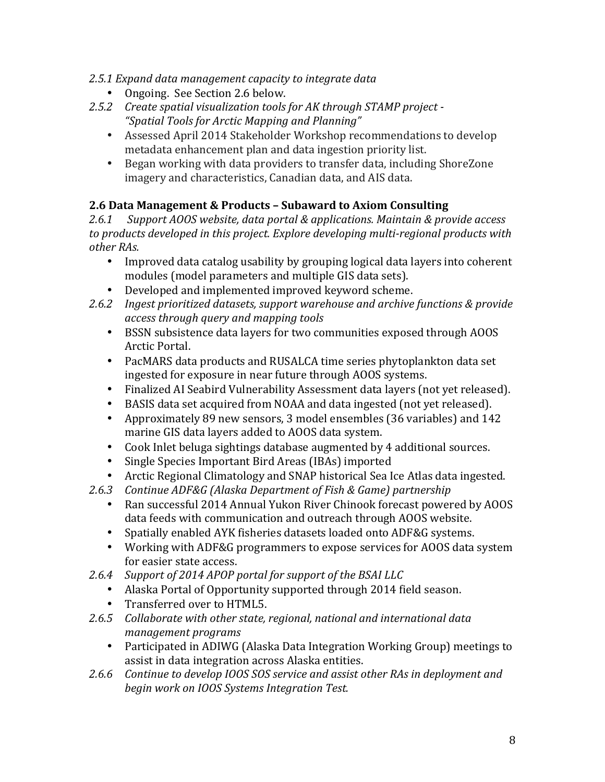- 2.5.1 Expand data management capacity to integrate data
	- Ongoing. See Section 2.6 below.
- 2.5.2 Create spatial visualization tools for AK through STAMP project -*"Spatial Tools for Arctic Mapping and Planning"*
	- Assessed April 2014 Stakeholder Workshop recommendations to develop metadata enhancement plan and data ingestion priority list.
	- Began working with data providers to transfer data, including ShoreZone imagery and characteristics, Canadian data, and AIS data.

### **2.6 Data Management & Products – Subaward to Axiom Consulting**

2.6.1 Support AOOS website, data portal & applications. Maintain & provide access to products developed in this project. Explore developing multi-regional products with *other RAs.*

- Improved data catalog usability by grouping logical data layers into coherent modules (model parameters and multiple GIS data sets).
- Developed and implemented improved keyword scheme.
- 2.6.2 Ingest prioritized datasets, support warehouse and archive functions & provide *access through query and mapping tools*
	- BSSN subsistence data layers for two communities exposed through AOOS Arctic Portal.
	- PacMARS data products and RUSALCA time series phytoplankton data set ingested for exposure in near future through AOOS systems.
	- Finalized AI Seabird Vulnerability Assessment data layers (not yet released).
	- BASIS data set acquired from NOAA and data ingested (not yet released).
	- Approximately 89 new sensors, 3 model ensembles (36 variables) and 142 marine GIS data layers added to AOOS data system.
	- Cook Inlet beluga sightings database augmented by 4 additional sources.
	- Single Species Important Bird Areas (IBAs) imported
	- Arctic Regional Climatology and SNAP historical Sea Ice Atlas data ingested.
- 2.6.3 Continue ADF&G (Alaska Department of Fish & Game) partnership
	- Ran successful 2014 Annual Yukon River Chinook forecast powered by AOOS data feeds with communication and outreach through AOOS website.
	- Spatially enabled AYK fisheries datasets loaded onto ADF&G systems.
	- Working with ADF&G programmers to expose services for AOOS data system for easier state access.
- 2.6.4 Support of 2014 APOP portal for support of the BSAI LLC
	- Alaska Portal of Opportunity supported through 2014 field season.
	- Transferred over to HTML5.
- 2.6.5 Collaborate with other state, regional, national and international data *management programs*
	- Participated in ADIWG (Alaska Data Integration Working Group) meetings to assist in data integration across Alaska entities.
- 2.6.6 Continue to develop IOOS SOS service and assist other RAs in deployment and *begin work on IOOS Systems Integration Test.*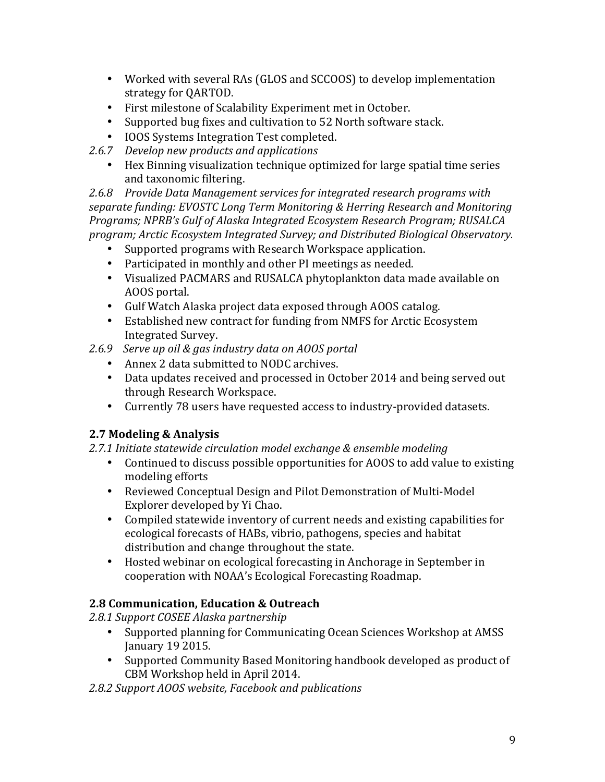- Worked with several RAs (GLOS and SCCOOS) to develop implementation strategy for QARTOD.
- First milestone of Scalability Experiment met in October.
- Supported bug fixes and cultivation to 52 North software stack.
- IOOS Systems Integration Test completed.
- 2.6.7 *Develop new products and applications* 
	- Hex Binning visualization technique optimized for large spatial time series and taxonomic filtering.

2.6.8 Provide Data Management services for integrated research programs with separate funding: EVOSTC Long Term Monitoring & Herring Research and Monitoring *Programs; NPRB's Gulf of Alaska Integrated Ecosystem Research Program; RUSALCA program; Arctic Ecosystem Integrated Survey; and Distributed Biological Observatory.*

- Supported programs with Research Workspace application.
- Participated in monthly and other PI meetings as needed.
- Visualized PACMARS and RUSALCA phytoplankton data made available on AOOS portal.
- Gulf Watch Alaska project data exposed through AOOS catalog.
- Established new contract for funding from NMFS for Arctic Ecosystem Integrated Survey.
- *2.6.9 Serve up oil & gas industry data on AOOS portal*
	- Annex 2 data submitted to NODC archives.
	- Data updates received and processed in October 2014 and being served out through Research Workspace.
	- Currently 78 users have requested access to industry-provided datasets.

# **2.7 Modeling & Analysis**

#### 2.7.1 Initiate statewide circulation model exchange & ensemble modeling

- Continued to discuss possible opportunities for AOOS to add value to existing modeling efforts
- Reviewed Conceptual Design and Pilot Demonstration of Multi-Model Explorer developed by Yi Chao.
- Compiled statewide inventory of current needs and existing capabilities for ecological forecasts of HABs, vibrio, pathogens, species and habitat distribution and change throughout the state.
- Hosted webinar on ecological forecasting in Anchorage in September in cooperation with NOAA's Ecological Forecasting Roadmap.

# **2.8 Communication, Education & Outreach**

*2.8.1 Support COSEE Alaska partnership*

- Supported planning for Communicating Ocean Sciences Workshop at AMSS January 19 2015.
- Supported Community Based Monitoring handbook developed as product of CBM Workshop held in April 2014.

#### *2.8.2 Support AOOS website, Facebook and publications*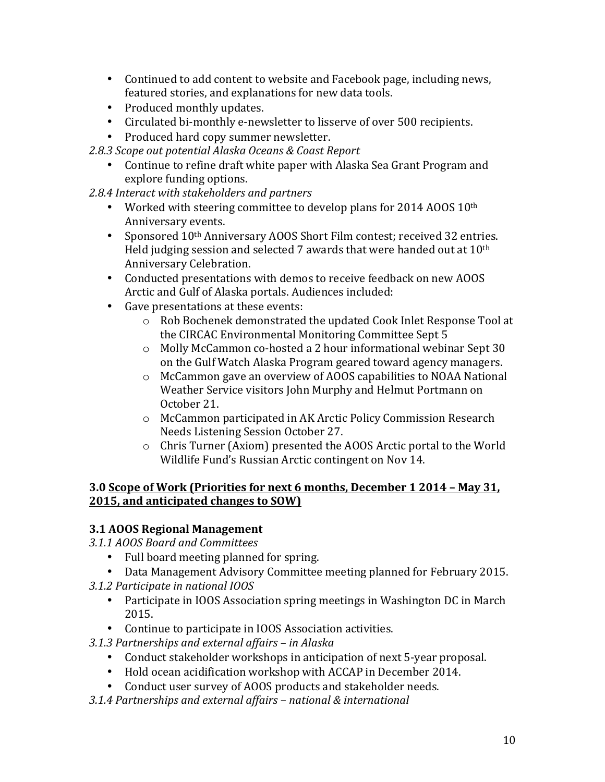- Continued to add content to website and Facebook page, including news, featured stories, and explanations for new data tools.
- Produced monthly updates.
- Circulated bi-monthly e-newsletter to lisserve of over 500 recipients.
- Produced hard copy summer newsletter.

*2.8.3 Scope out potential Alaska Oceans & Coast Report*

• Continue to refine draft white paper with Alaska Sea Grant Program and explore funding options.

### 2.8.4 Interact with stakeholders and partners

- Worked with steering committee to develop plans for 2014 AOOS 10<sup>th</sup> Anniversary events.
- Sponsored 10<sup>th</sup> Anniversary AOOS Short Film contest; received 32 entries. Held judging session and selected 7 awards that were handed out at  $10^{\text{th}}$ Anniversary Celebration.
- Conducted presentations with demos to receive feedback on new AOOS Arctic and Gulf of Alaska portals. Audiences included:
- Gave presentations at these events:
	- o Rob Bochenek demonstrated the updated Cook Inlet Response Tool at the CIRCAC Environmental Monitoring Committee Sept 5
	- $\circ$  Molly McCammon co-hosted a 2 hour informational webinar Sept 30 on the Gulf Watch Alaska Program geared toward agency managers.
	- $\circ$  McCammon gave an overview of AOOS capabilities to NOAA National Weather Service visitors John Murphy and Helmut Portmann on October 21.
	- o McCammon participated in AK Arctic Policy Commission Research Needs Listening Session October 27.
	- $\circ$  Chris Turner (Axiom) presented the AOOS Arctic portal to the World Wildlife Fund's Russian Arctic contingent on Nov 14.

#### **3.0 Scope of Work (Priorities for next 6 months, December 1 2014 – May 31, 2015, and anticipated changes to SOW)**

# **3.1 AOOS Regional Management**

*3.1.1 AOOS Board and Committees*

- Full board meeting planned for spring.
- Data Management Advisory Committee meeting planned for February 2015.
- *3.1.2 Participate in national IOOS*
	- Participate in IOOS Association spring meetings in Washington DC in March 2015.
	- Continue to participate in IOOS Association activities.
- *3.1.3 Partnerships and external affairs – in Alaska*
	- Conduct stakeholder workshops in anticipation of next 5-year proposal.
	- Hold ocean acidification workshop with ACCAP in December 2014.
	- Conduct user survey of AOOS products and stakeholder needs.
- *3.1.4 Partnerships and external affairs – national & international*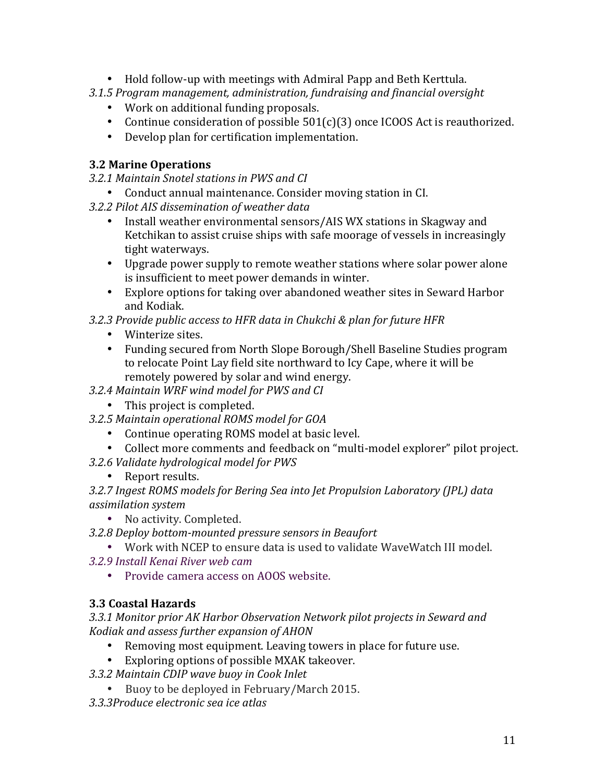- Hold follow-up with meetings with Admiral Papp and Beth Kerttula.
- *3.1.5 Program management, administration, fundraising and financial oversight*
	- Work on additional funding proposals.
	- Continue consideration of possible  $501(c)(3)$  once ICOOS Act is reauthorized.
	- Develop plan for certification implementation.

### **3.2 Marine Operations**

- *3.2.1 Maintain Snotel stations in PWS and CI*
- Conduct annual maintenance. Consider moving station in CI.
- *3.2.2 Pilot AIS dissemination of weather data*
	- Install weather environmental sensors/AIS WX stations in Skagway and Ketchikan to assist cruise ships with safe moorage of vessels in increasingly tight waterways.
	- Upgrade power supply to remote weather stations where solar power alone is insufficient to meet power demands in winter.
	- Explore options for taking over abandoned weather sites in Seward Harbor and Kodiak.
- *3.2.3 Provide public access to HFR data in Chukchi & plan for future HFR*
	- Winterize sites.
	- Funding secured from North Slope Borough/Shell Baseline Studies program to relocate Point Lay field site northward to Icy Cape, where it will be remotely powered by solar and wind energy.
- *3.2.4 Maintain WRF wind model for PWS and CI*
	- This project is completed.
- *3.2.5 Maintain operational ROMS model for GOA*
	- Continue operating ROMS model at basic level.
	- Collect more comments and feedback on "multi-model explorer" pilot project.
- *3.2.6 Validate hydrological model for PWS*
	- Report results.
- 3.2.7 Ingest ROMS models for Bering Sea into Jet Propulsion Laboratory (JPL) data *assimilation system*
	- No activity. Completed.
- *3.2.8 Deploy bottom-mounted pressure sensors in Beaufort*
	- Work with NCEP to ensure data is used to validate WaveWatch III model.
- *3.2.9 Install Kenai River web cam*
	- Provide camera access on AOOS website.

# **3.3 Coastal Hazards**

3.3.1 Monitor prior AK Harbor Observation Network pilot projects in Seward and *Kodiak and assess further expansion of AHON*

- Removing most equipment. Leaving towers in place for future use.
- Exploring options of possible MXAK takeover.
- *3.3.2 Maintain CDIP wave buoy in Cook Inlet*
	- Buoy to be deployed in February/March 2015.
- *3.3.3Produce electronic sea ice atlas*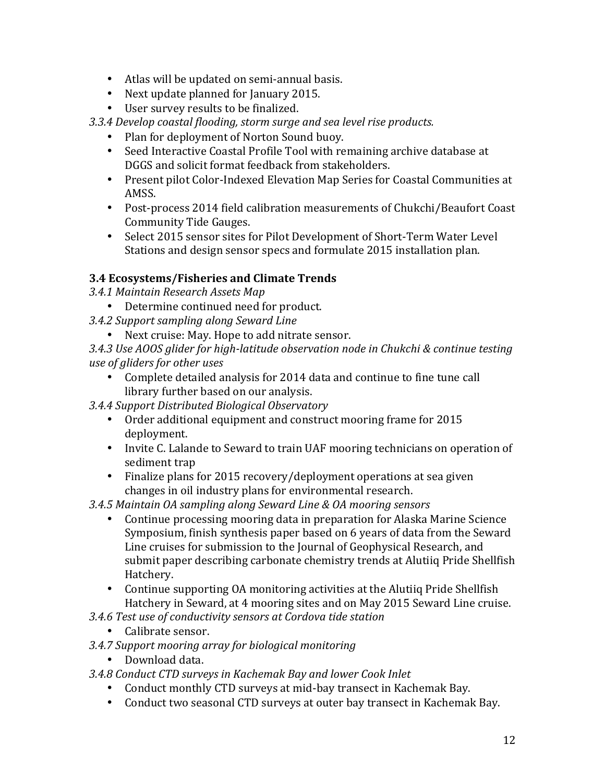- Atlas will be updated on semi-annual basis.
- Next update planned for January 2015.
- User survey results to be finalized.

3.3.4 Develop coastal flooding, storm surge and sea level rise products.

- Plan for deployment of Norton Sound buoy.
- Seed Interactive Coastal Profile Tool with remaining archive database at DGGS and solicit format feedback from stakeholders.
- Present pilot Color-Indexed Elevation Map Series for Coastal Communities at AMSS.
- Post-process 2014 field calibration measurements of Chukchi/Beaufort Coast Community Tide Gauges.
- Select 2015 sensor sites for Pilot Development of Short-Term Water Level Stations and design sensor specs and formulate 2015 installation plan.

#### **3.4 Ecosystems/Fisheries and Climate Trends**

- *3.4.1 Maintain Research Assets Map*
- Determine continued need for product.
- *3.4.2 Support sampling along Seward Line*
	- Next cruise: May. Hope to add nitrate sensor.

3.4.3 Use AOOS glider for high-latitude observation node in Chukchi & continue testing *use of gliders for other uses*

- Complete detailed analysis for 2014 data and continue to fine tune call library further based on our analysis.
- *3.4.4 Support Distributed Biological Observatory*
	- Order additional equipment and construct mooring frame for 2015 deployment.
	- Invite C. Lalande to Seward to train UAF mooring technicians on operation of sediment trap
	- Finalize plans for 2015 recovery/deployment operations at sea given changes in oil industry plans for environmental research.
- *3.4.5 Maintain OA sampling along Seward Line & OA mooring sensors*
	- Continue processing mooring data in preparation for Alaska Marine Science Symposium, finish synthesis paper based on 6 years of data from the Seward Line cruises for submission to the Journal of Geophysical Research, and submit paper describing carbonate chemistry trends at Alutiiq Pride Shellfish Hatchery.
	- Continue supporting OA monitoring activities at the Alutiiq Pride Shellfish Hatchery in Seward, at 4 mooring sites and on May 2015 Seward Line cruise.
- *3.4.6 Test use of conductivity sensors at Cordova tide station*
	- Calibrate sensor.
- *3.4.7 Support mooring array for biological monitoring*
	- Download data.
- *3.4.8 Conduct CTD surveys in Kachemak Bay and lower Cook Inlet*
	- Conduct monthly CTD surveys at mid-bay transect in Kachemak Bay.
	- Conduct two seasonal CTD surveys at outer bay transect in Kachemak Bay.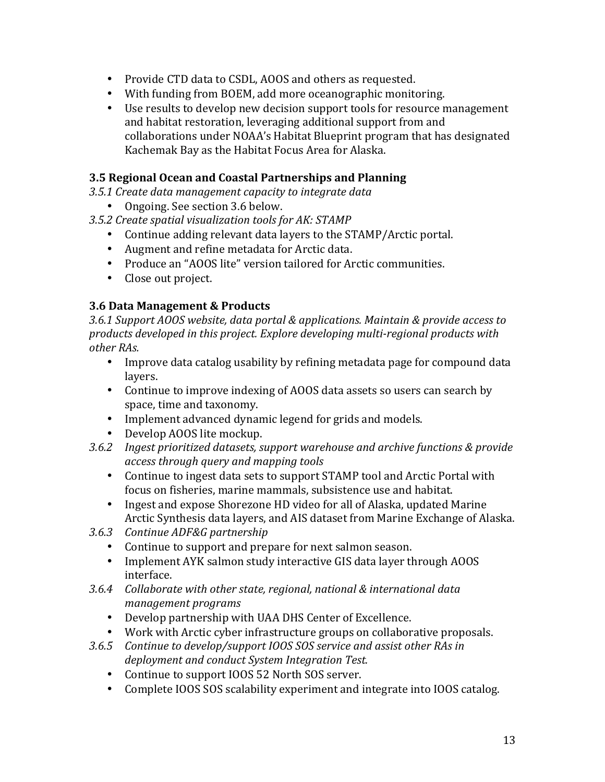- Provide CTD data to CSDL, AOOS and others as requested.
- With funding from BOEM, add more oceanographic monitoring.
- Use results to develop new decision support tools for resource management and habitat restoration, leveraging additional support from and collaborations under NOAA's Habitat Blueprint program that has designated Kachemak Bay as the Habitat Focus Area for Alaska.

#### **3.5 Regional Ocean and Coastal Partnerships and Planning**

- *3.5.1 Create data management capacity to integrate data*
	- Ongoing. See section 3.6 below.
- 3.5.2 Create spatial visualization tools for AK: STAMP
	- Continue adding relevant data layers to the STAMP/Arctic portal.
	- Augment and refine metadata for Arctic data.
	- Produce an "AOOS lite" version tailored for Arctic communities.
	- Close out project.

#### **3.6 Data Management & Products**

3.6.1 Support AOOS website, data portal & applications. Maintain & provide access to products developed in this project. Explore developing multi-regional products with *other RAs.*

- Improve data catalog usability by refining metadata page for compound data layers.
- Continue to improve indexing of AOOS data assets so users can search by space, time and taxonomy.
- Implement advanced dynamic legend for grids and models.
- Develop AOOS lite mockup.
- 3.6.2 Ingest prioritized datasets, support warehouse and archive functions & provide *access through query and mapping tools*
	- Continue to ingest data sets to support STAMP tool and Arctic Portal with focus on fisheries, marine mammals, subsistence use and habitat.
	- Ingest and expose Shorezone HD video for all of Alaska, updated Marine Arctic Synthesis data layers, and AIS dataset from Marine Exchange of Alaska.
- *3.6.3 Continue ADF&G partnership*
	- Continue to support and prepare for next salmon season.
	- Implement AYK salmon study interactive GIS data layer through AOOS interface.
- 3.6.4 Collaborate with other state, regional, national & international data *management programs*
	- Develop partnership with UAA DHS Center of Excellence.
	- Work with Arctic cyber infrastructure groups on collaborative proposals.
- 3.6.5 Continue to develop/support IOOS SOS service and assist other RAs in *deployment and conduct System Integration Test.*
	- Continue to support IOOS 52 North SOS server.
	- Complete IOOS SOS scalability experiment and integrate into IOOS catalog.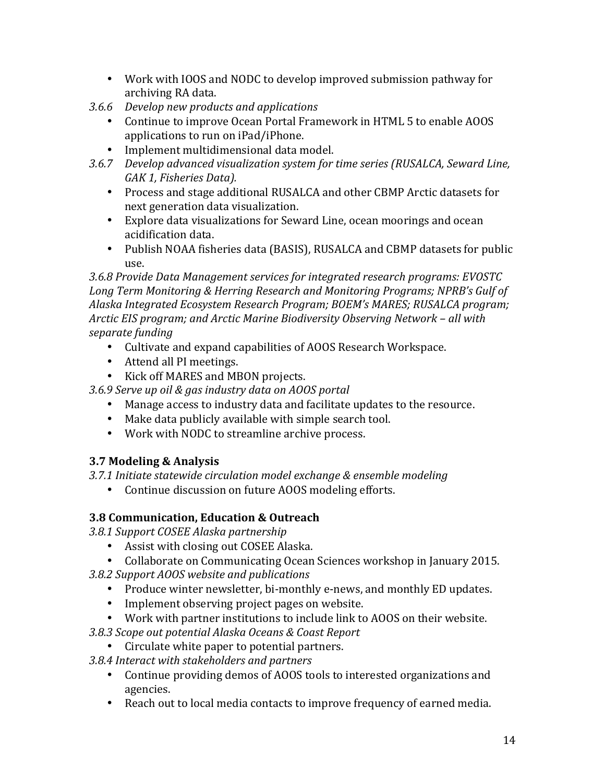- Work with IOOS and NODC to develop improved submission pathway for archiving RA data.
- *3.6.6 Develop new products and applications* 
	- Continue to improve Ocean Portal Framework in HTML 5 to enable AOOS applications to run on iPad/iPhone.
	- Implement multidimensional data model.
- 3.6.7 *Develop advanced visualization system for time series (RUSALCA, Seward Line,* GAK 1, Fisheries Data).
	- Process and stage additional RUSALCA and other CBMP Arctic datasets for next generation data visualization.
	- Explore data visualizations for Seward Line, ocean moorings and ocean acidification data.
	- Publish NOAA fisheries data (BASIS), RUSALCA and CBMP datasets for public use.

3.6.8 Provide Data Management services for integrated research programs: EVOSTC Long Term Monitoring & Herring Research and Monitoring Programs; NPRB's Gulf of Alaska Integrated *Ecosystem Research Program; BOEM's MARES; RUSALCA program;* Arctic EIS program; and Arctic Marine Biodiversity Observing Network - all with *separate funding*

- Cultivate and expand capabilities of AOOS Research Workspace.
- Attend all PI meetings.
- Kick off MARES and MBON projects.

*3.6.9 Serve up oil & gas industry data on AOOS portal*

- Manage access to industry data and facilitate updates to the resource.
- Make data publicly available with simple search tool.
- Work with NODC to streamline archive process.

# **3.7 Modeling & Analysis**

3.7.1 Initiate statewide circulation model exchange & ensemble modeling

• Continue discussion on future AOOS modeling efforts.

# **3.8 Communication, Education & Outreach**

- *3.8.1 Support COSEE Alaska partnership*
	- Assist with closing out COSEE Alaska.
	- Collaborate on Communicating Ocean Sciences workshop in January 2015.
- *3.8.2 Support AOOS website and publications*
	- Produce winter newsletter, bi-monthly e-news, and monthly ED updates.
	- Implement observing project pages on website.
- Work with partner institutions to include link to AOOS on their website.
- *3.8.3 Scope out potential Alaska Oceans & Coast Report*
	- Circulate white paper to potential partners.
- *3.8.4 Interact with stakeholders and partners*
	- Continue providing demos of AOOS tools to interested organizations and agencies.
	- Reach out to local media contacts to improve frequency of earned media.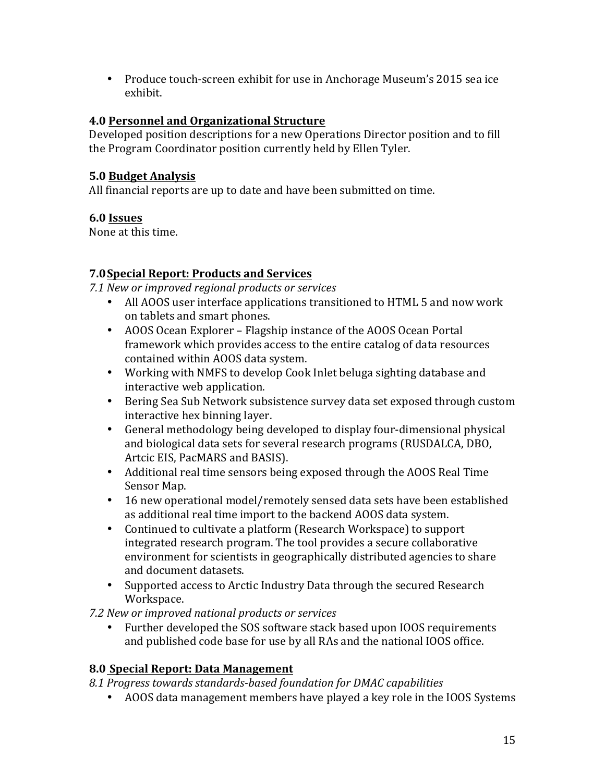• Produce touch-screen exhibit for use in Anchorage Museum's 2015 sea ice exhibit.

#### **4.0 Personnel and Organizational Structure**

Developed position descriptions for a new Operations Director position and to fill the Program Coordinator position currently held by Ellen Tyler.

### **5.0 Budget Analysis**

All financial reports are up to date and have been submitted on time.

### **6.0 Issues**

None at this time.

# **7.0Special Report: Products and Services**

*7.1 New or improved regional products or services*

- All AOOS user interface applications transitioned to HTML 5 and now work on tablets and smart phones.
- AOOS Ocean Explorer Flagship instance of the AOOS Ocean Portal framework which provides access to the entire catalog of data resources contained within AOOS data system.
- Working with NMFS to develop Cook Inlet beluga sighting database and interactive web application.
- Bering Sea Sub Network subsistence survey data set exposed through custom interactive hex binning layer.
- General methodology being developed to display four-dimensional physical and biological data sets for several research programs (RUSDALCA, DBO, Artcic EIS, PacMARS and BASIS).
- Additional real time sensors being exposed through the AOOS Real Time Sensor Map.
- 16 new operational model/remotely sensed data sets have been established as additional real time import to the backend AOOS data system.
- Continued to cultivate a platform (Research Workspace) to support integrated research program. The tool provides a secure collaborative environment for scientists in geographically distributed agencies to share and document datasets.
- Supported access to Arctic Industry Data through the secured Research Workspace.

*7.2 New or improved national products or services*

• Further developed the SOS software stack based upon IOOS requirements and published code base for use by all RAs and the national IOOS office.

# **8.0 Special Report: Data Management**

8.1 Progress towards standards-based foundation for DMAC capabilities

• AOOS data management members have played a key role in the IOOS Systems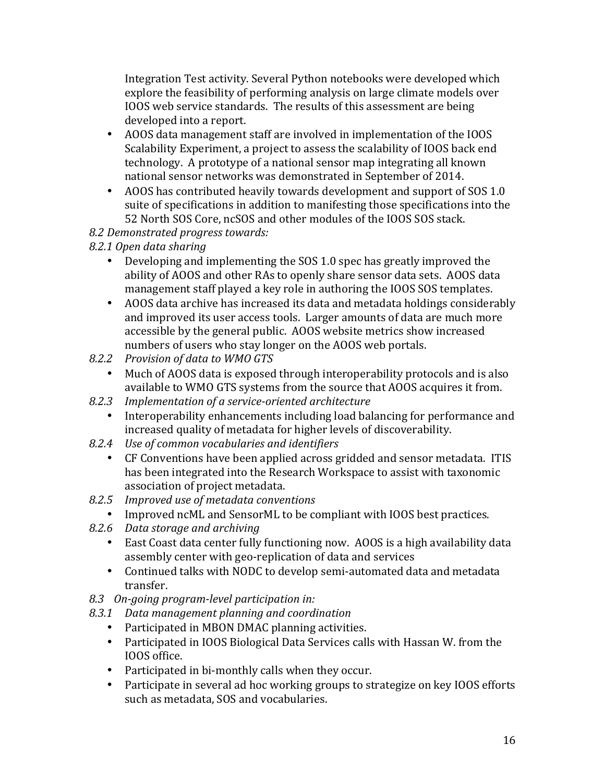Integration Test activity. Several Python notebooks were developed which explore the feasibility of performing analysis on large climate models over IOOS web service standards. The results of this assessment are being developed into a report.

- AOOS data management staff are involved in implementation of the IOOS Scalability Experiment, a project to assess the scalability of IOOS back end technology. A prototype of a national sensor map integrating all known national sensor networks was demonstrated in September of 2014.
- AOOS has contributed heavily towards development and support of SOS 1.0 suite of specifications in addition to manifesting those specifications into the 52 North SOS Core, ncSOS and other modules of the IOOS SOS stack.
- *8.2 Demonstrated progress towards:*
- *8.2.1 Open data sharing*
	- Developing and implementing the SOS 1.0 spec has greatly improved the ability of AOOS and other RAs to openly share sensor data sets. AOOS data management staff played a key role in authoring the IOOS SOS templates.
	- AOOS data archive has increased its data and metadata holdings considerably and improved its user access tools. Larger amounts of data are much more accessible by the general public. AOOS website metrics show increased numbers of users who stay longer on the AOOS web portals.
- *8.2.2 Provision of data to WMO GTS*
	- Much of AOOS data is exposed through interoperability protocols and is also available to WMO GTS systems from the source that AOOS acquires it from.
- *8.2.3 Implementation of a service-oriented architecture*
	- Interoperability enhancements including load balancing for performance and increased quality of metadata for higher levels of discoverability.
- *8.2.4 Use of common vocabularies and identifiers*
	- CF Conventions have been applied across gridded and sensor metadata. ITIS has been integrated into the Research Workspace to assist with taxonomic association of project metadata.
- 8.2.5 *Improved use of metadata conventions* 
	- Improved ncML and SensorML to be compliant with IOOS best practices.
- *8.2.6 Data storage and archiving*
	- East Coast data center fully functioning now. AOOS is a high availability data assembly center with geo-replication of data and services
	- Continued talks with NODC to develop semi-automated data and metadata transfer.
- *8.3 On-going program-level participation in:*
- *8.3.1 Data management planning and coordination*
	- Participated in MBON DMAC planning activities.
	- Participated in IOOS Biological Data Services calls with Hassan W. from the IOOS office.
	- Participated in bi-monthly calls when they occur.
	- Participate in several ad hoc working groups to strategize on key IOOS efforts such as metadata, SOS and vocabularies.